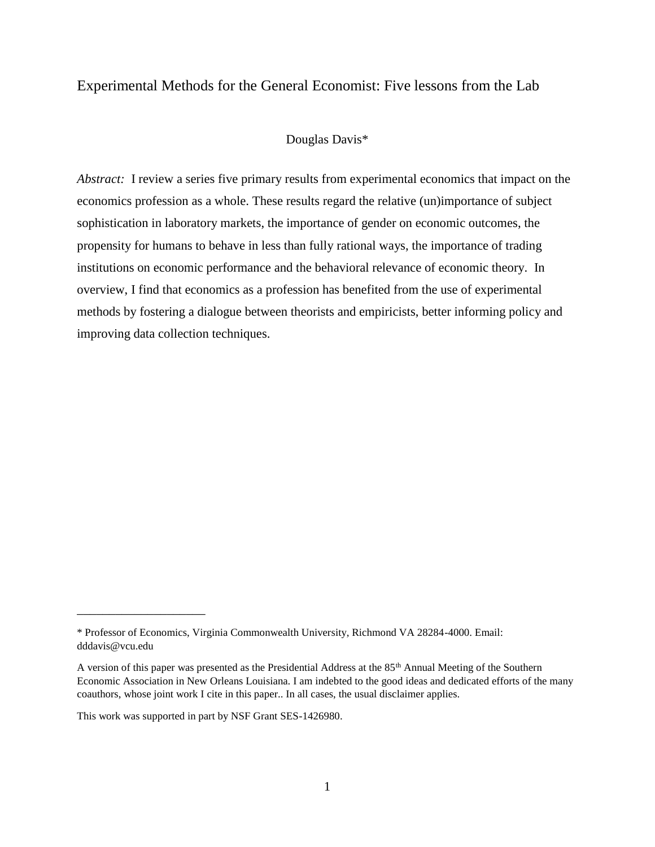# Experimental Methods for the General Economist: Five lessons from the Lab

## Douglas Davis\*

*Abstract:* I review a series five primary results from experimental economics that impact on the economics profession as a whole. These results regard the relative (un)importance of subject sophistication in laboratory markets, the importance of gender on economic outcomes, the propensity for humans to behave in less than fully rational ways, the importance of trading institutions on economic performance and the behavioral relevance of economic theory. In overview, I find that economics as a profession has benefited from the use of experimental methods by fostering a dialogue between theorists and empiricists, better informing policy and improving data collection techniques.

\_\_\_\_\_\_\_\_\_\_\_\_\_\_\_\_\_\_\_\_

<sup>\*</sup> Professor of Economics, Virginia Commonwealth University, Richmond VA 28284-4000. Email: dddavis@vcu.edu

A version of this paper was presented as the Presidential Address at the 85<sup>th</sup> Annual Meeting of the Southern Economic Association in New Orleans Louisiana. I am indebted to the good ideas and dedicated efforts of the many coauthors, whose joint work I cite in this paper.. In all cases, the usual disclaimer applies.

This work was supported in part by NSF Grant SES-1426980.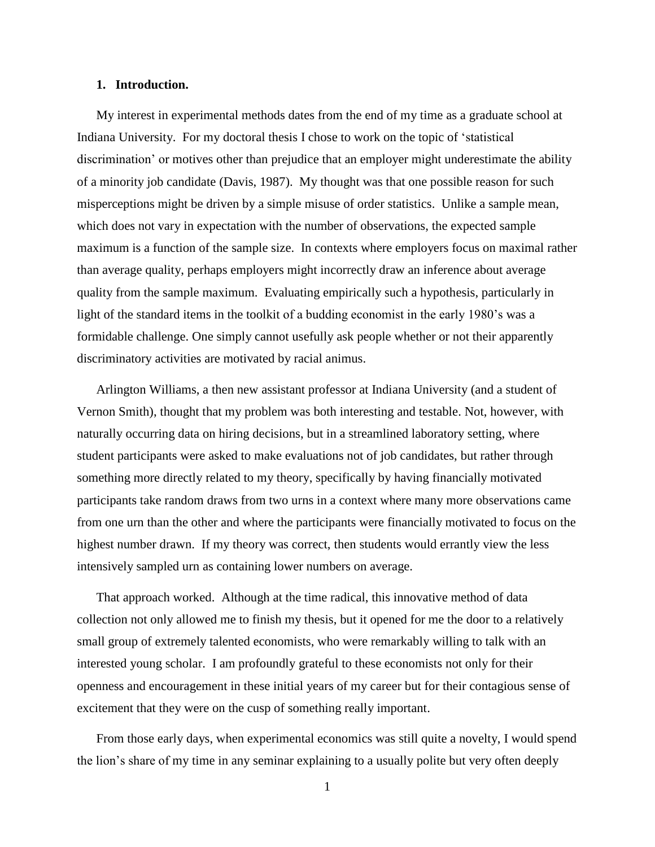## **1. Introduction.**

My interest in experimental methods dates from the end of my time as a graduate school at Indiana University. For my doctoral thesis I chose to work on the topic of 'statistical discrimination' or motives other than prejudice that an employer might underestimate the ability of a minority job candidate (Davis, 1987). My thought was that one possible reason for such misperceptions might be driven by a simple misuse of order statistics. Unlike a sample mean, which does not vary in expectation with the number of observations, the expected sample maximum is a function of the sample size. In contexts where employers focus on maximal rather than average quality, perhaps employers might incorrectly draw an inference about average quality from the sample maximum. Evaluating empirically such a hypothesis, particularly in light of the standard items in the toolkit of a budding economist in the early 1980's was a formidable challenge. One simply cannot usefully ask people whether or not their apparently discriminatory activities are motivated by racial animus.

Arlington Williams, a then new assistant professor at Indiana University (and a student of Vernon Smith), thought that my problem was both interesting and testable. Not, however, with naturally occurring data on hiring decisions, but in a streamlined laboratory setting, where student participants were asked to make evaluations not of job candidates, but rather through something more directly related to my theory, specifically by having financially motivated participants take random draws from two urns in a context where many more observations came from one urn than the other and where the participants were financially motivated to focus on the highest number drawn. If my theory was correct, then students would errantly view the less intensively sampled urn as containing lower numbers on average.

That approach worked. Although at the time radical, this innovative method of data collection not only allowed me to finish my thesis, but it opened for me the door to a relatively small group of extremely talented economists, who were remarkably willing to talk with an interested young scholar. I am profoundly grateful to these economists not only for their openness and encouragement in these initial years of my career but for their contagious sense of excitement that they were on the cusp of something really important.

From those early days, when experimental economics was still quite a novelty, I would spend the lion's share of my time in any seminar explaining to a usually polite but very often deeply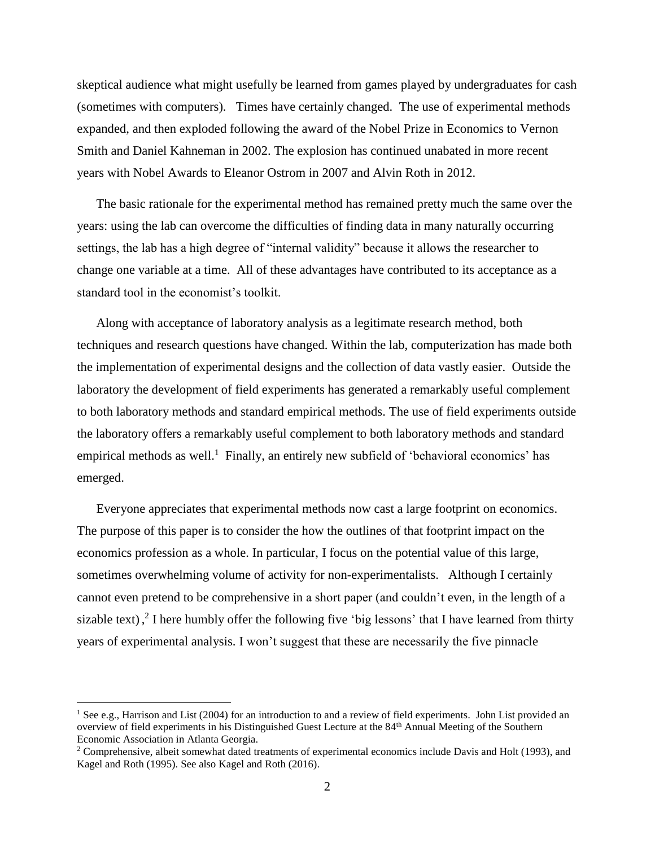skeptical audience what might usefully be learned from games played by undergraduates for cash (sometimes with computers). Times have certainly changed. The use of experimental methods expanded, and then exploded following the award of the Nobel Prize in Economics to Vernon Smith and Daniel Kahneman in 2002. The explosion has continued unabated in more recent years with Nobel Awards to Eleanor Ostrom in 2007 and Alvin Roth in 2012.

The basic rationale for the experimental method has remained pretty much the same over the years: using the lab can overcome the difficulties of finding data in many naturally occurring settings, the lab has a high degree of "internal validity" because it allows the researcher to change one variable at a time. All of these advantages have contributed to its acceptance as a standard tool in the economist's toolkit.

Along with acceptance of laboratory analysis as a legitimate research method, both techniques and research questions have changed. Within the lab, computerization has made both the implementation of experimental designs and the collection of data vastly easier. Outside the laboratory the development of field experiments has generated a remarkably useful complement to both laboratory methods and standard empirical methods. The use of field experiments outside the laboratory offers a remarkably useful complement to both laboratory methods and standard empirical methods as well.<sup>1</sup> Finally, an entirely new subfield of 'behavioral economics' has emerged.

Everyone appreciates that experimental methods now cast a large footprint on economics. The purpose of this paper is to consider the how the outlines of that footprint impact on the economics profession as a whole. In particular, I focus on the potential value of this large, sometimes overwhelming volume of activity for non-experimentalists. Although I certainly cannot even pretend to be comprehensive in a short paper (and couldn't even, in the length of a sizable text),  $\frac{3}{7}$  I here humbly offer the following five 'big lessons' that I have learned from thirty years of experimental analysis. I won't suggest that these are necessarily the five pinnacle

 $\overline{a}$ 

<sup>&</sup>lt;sup>1</sup> See e.g., Harrison and List (2004) for an introduction to and a review of field experiments. John List provided an overview of field experiments in his Distinguished Guest Lecture at the 84th Annual Meeting of the Southern Economic Association in Atlanta Georgia.

<sup>&</sup>lt;sup>2</sup> Comprehensive, albeit somewhat dated treatments of experimental economics include Davis and Holt (1993), and Kagel and Roth (1995). See also Kagel and Roth (2016).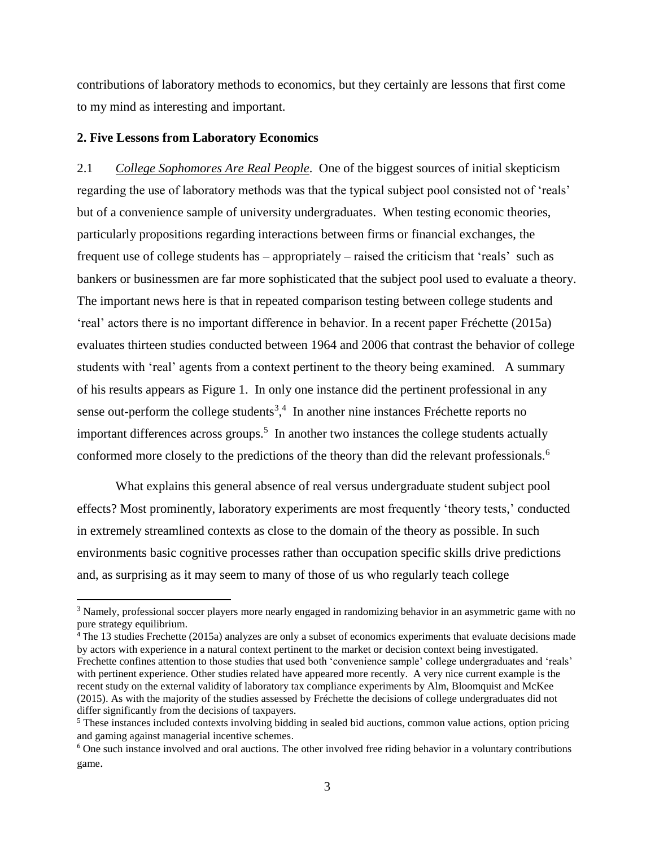contributions of laboratory methods to economics, but they certainly are lessons that first come to my mind as interesting and important.

### **2. Five Lessons from Laboratory Economics**

 $\overline{\phantom{a}}$ 

2.1 *College Sophomores Are Real People*. One of the biggest sources of initial skepticism regarding the use of laboratory methods was that the typical subject pool consisted not of 'reals' but of a convenience sample of university undergraduates. When testing economic theories, particularly propositions regarding interactions between firms or financial exchanges, the frequent use of college students has – appropriately – raised the criticism that 'reals' such as bankers or businessmen are far more sophisticated that the subject pool used to evaluate a theory. The important news here is that in repeated comparison testing between college students and 'real' actors there is no important difference in behavior. In a recent paper Fréchette (2015a) evaluates thirteen studies conducted between 1964 and 2006 that contrast the behavior of college students with 'real' agents from a context pertinent to the theory being examined. A summary of his results appears as Figure 1. In only one instance did the pertinent professional in any sense out-perform the college students<sup>3,4</sup> In another nine instances Fréchette reports no important differences across groups.<sup>5</sup> In another two instances the college students actually conformed more closely to the predictions of the theory than did the relevant professionals.<sup>6</sup>

What explains this general absence of real versus undergraduate student subject pool effects? Most prominently, laboratory experiments are most frequently 'theory tests,' conducted in extremely streamlined contexts as close to the domain of the theory as possible. In such environments basic cognitive processes rather than occupation specific skills drive predictions and, as surprising as it may seem to many of those of us who regularly teach college

<sup>&</sup>lt;sup>3</sup> Namely, professional soccer players more nearly engaged in randomizing behavior in an asymmetric game with no pure strategy equilibrium.

<sup>4</sup> The 13 studies Frechette (2015a) analyzes are only a subset of economics experiments that evaluate decisions made by actors with experience in a natural context pertinent to the market or decision context being investigated. Frechette confines attention to those studies that used both 'convenience sample' college undergraduates and 'reals' with pertinent experience. Other studies related have appeared more recently. A very nice current example is the recent study on the external validity of laboratory tax compliance experiments by Alm, Bloomquist and McKee (2015). As with the majority of the studies assessed by Fréchette the decisions of college undergraduates did not differ significantly from the decisions of taxpayers.

<sup>&</sup>lt;sup>5</sup> These instances included contexts involving bidding in sealed bid auctions, common value actions, option pricing and gaming against managerial incentive schemes.

<sup>6</sup> One such instance involved and oral auctions. The other involved free riding behavior in a voluntary contributions game.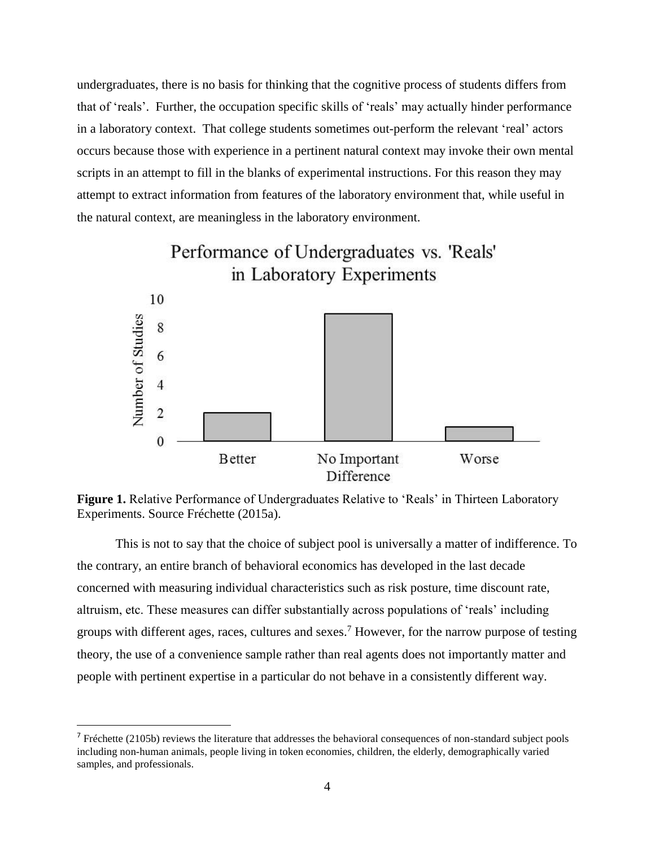undergraduates, there is no basis for thinking that the cognitive process of students differs from that of 'reals'. Further, the occupation specific skills of 'reals' may actually hinder performance in a laboratory context. That college students sometimes out-perform the relevant 'real' actors occurs because those with experience in a pertinent natural context may invoke their own mental scripts in an attempt to fill in the blanks of experimental instructions. For this reason they may attempt to extract information from features of the laboratory environment that, while useful in the natural context, are meaningless in the laboratory environment.



Figure 1. Relative Performance of Undergraduates Relative to 'Reals' in Thirteen Laboratory Experiments. Source Fréchette (2015a).

This is not to say that the choice of subject pool is universally a matter of indifference. To the contrary, an entire branch of behavioral economics has developed in the last decade concerned with measuring individual characteristics such as risk posture, time discount rate, altruism, etc. These measures can differ substantially across populations of 'reals' including groups with different ages, races, cultures and sexes.<sup>7</sup> However, for the narrow purpose of testing theory, the use of a convenience sample rather than real agents does not importantly matter and people with pertinent expertise in a particular do not behave in a consistently different way.

l

<sup>&</sup>lt;sup>7</sup> Fréchette (2105b) reviews the literature that addresses the behavioral consequences of non-standard subject pools including non-human animals, people living in token economies, children, the elderly, demographically varied samples, and professionals.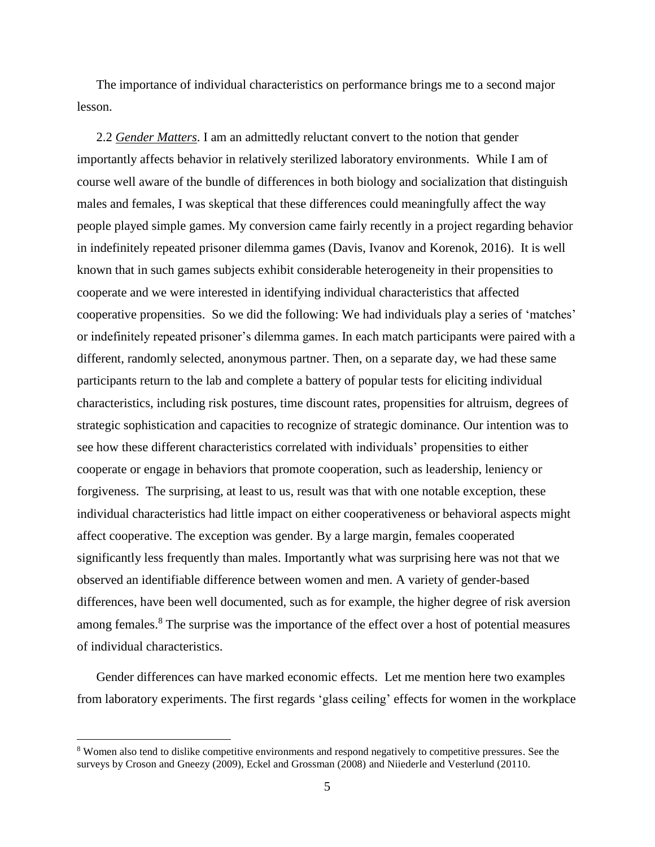The importance of individual characteristics on performance brings me to a second major lesson.

2.2 *Gender Matters*. I am an admittedly reluctant convert to the notion that gender importantly affects behavior in relatively sterilized laboratory environments. While I am of course well aware of the bundle of differences in both biology and socialization that distinguish males and females, I was skeptical that these differences could meaningfully affect the way people played simple games. My conversion came fairly recently in a project regarding behavior in indefinitely repeated prisoner dilemma games (Davis, Ivanov and Korenok, 2016). It is well known that in such games subjects exhibit considerable heterogeneity in their propensities to cooperate and we were interested in identifying individual characteristics that affected cooperative propensities. So we did the following: We had individuals play a series of 'matches' or indefinitely repeated prisoner's dilemma games. In each match participants were paired with a different, randomly selected, anonymous partner. Then, on a separate day, we had these same participants return to the lab and complete a battery of popular tests for eliciting individual characteristics, including risk postures, time discount rates, propensities for altruism, degrees of strategic sophistication and capacities to recognize of strategic dominance. Our intention was to see how these different characteristics correlated with individuals' propensities to either cooperate or engage in behaviors that promote cooperation, such as leadership, leniency or forgiveness. The surprising, at least to us, result was that with one notable exception, these individual characteristics had little impact on either cooperativeness or behavioral aspects might affect cooperative. The exception was gender. By a large margin, females cooperated significantly less frequently than males. Importantly what was surprising here was not that we observed an identifiable difference between women and men. A variety of gender-based differences, have been well documented, such as for example, the higher degree of risk aversion among females.<sup>8</sup> The surprise was the importance of the effect over a host of potential measures of individual characteristics.

Gender differences can have marked economic effects. Let me mention here two examples from laboratory experiments. The first regards 'glass ceiling' effects for women in the workplace

<sup>8</sup> Women also tend to dislike competitive environments and respond negatively to competitive pressures. See the surveys by Croson and Gneezy (2009), Eckel and Grossman (2008) and Niiederle and Vesterlund (20110.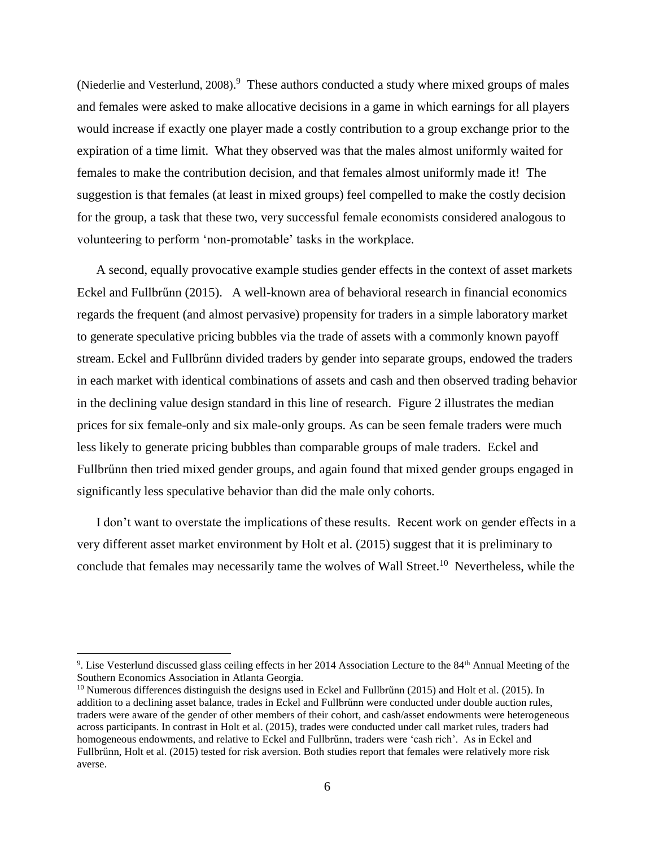(Niederlie and Vesterlund, 2008). 9 These authors conducted a study where mixed groups of males and females were asked to make allocative decisions in a game in which earnings for all players would increase if exactly one player made a costly contribution to a group exchange prior to the expiration of a time limit. What they observed was that the males almost uniformly waited for females to make the contribution decision, and that females almost uniformly made it! The suggestion is that females (at least in mixed groups) feel compelled to make the costly decision for the group, a task that these two, very successful female economists considered analogous to volunteering to perform 'non-promotable' tasks in the workplace.

A second, equally provocative example studies gender effects in the context of asset markets Eckel and Fullbrűnn (2015). A well-known area of behavioral research in financial economics regards the frequent (and almost pervasive) propensity for traders in a simple laboratory market to generate speculative pricing bubbles via the trade of assets with a commonly known payoff stream. Eckel and Fullbrűnn divided traders by gender into separate groups, endowed the traders in each market with identical combinations of assets and cash and then observed trading behavior in the declining value design standard in this line of research. Figure 2 illustrates the median prices for six female-only and six male-only groups. As can be seen female traders were much less likely to generate pricing bubbles than comparable groups of male traders. Eckel and Fullbrűnn then tried mixed gender groups, and again found that mixed gender groups engaged in significantly less speculative behavior than did the male only cohorts.

I don't want to overstate the implications of these results. Recent work on gender effects in a very different asset market environment by Holt et al. (2015) suggest that it is preliminary to conclude that females may necessarily tame the wolves of Wall Street.<sup>10</sup> Nevertheless, while the

<sup>&</sup>lt;sup>9</sup>. Lise Vesterlund discussed glass ceiling effects in her 2014 Association Lecture to the 84<sup>th</sup> Annual Meeting of the Southern Economics Association in Atlanta Georgia.

<sup>&</sup>lt;sup>10</sup> Numerous differences distinguish the designs used in Eckel and Fullbrünn (2015) and Holt et al. (2015). In addition to a declining asset balance, trades in Eckel and Fullbrűnn were conducted under double auction rules, traders were aware of the gender of other members of their cohort, and cash/asset endowments were heterogeneous across participants. In contrast in Holt et al. (2015), trades were conducted under call market rules, traders had homogeneous endowments, and relative to Eckel and Fullbrűnn, traders were 'cash rich'. As in Eckel and Fullbrűnn, Holt et al. (2015) tested for risk aversion. Both studies report that females were relatively more risk averse.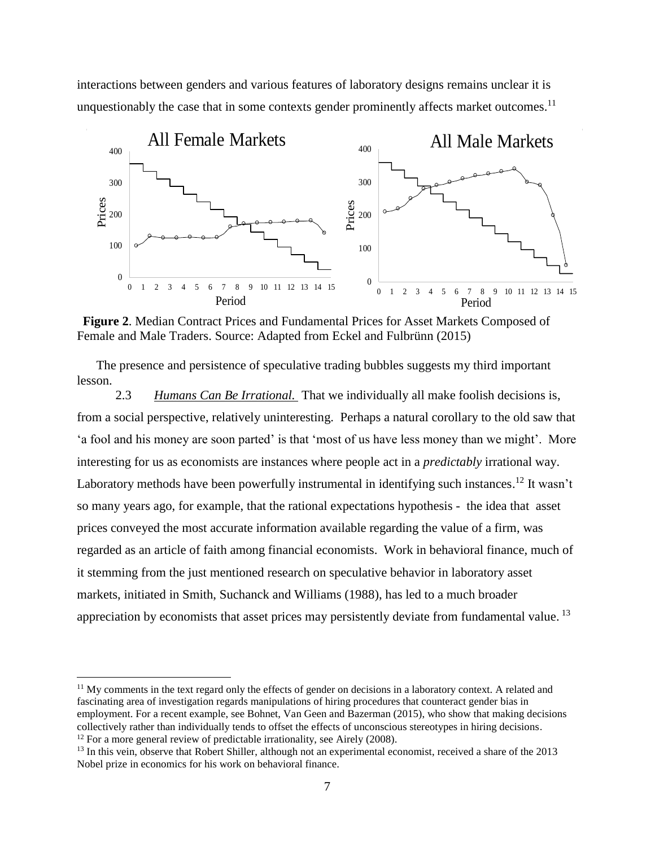interactions between genders and various features of laboratory designs remains unclear it is unquestionably the case that in some contexts gender prominently affects market outcomes.<sup>11</sup>



**Figure 2**. Median Contract Prices and Fundamental Prices for Asset Markets Composed of Female and Male Traders. Source: Adapted from Eckel and Fulbrünn (2015)

The presence and persistence of speculative trading bubbles suggests my third important lesson.

2.3 *Humans Can Be Irrational.* That we individually all make foolish decisions is, from a social perspective, relatively uninteresting. Perhaps a natural corollary to the old saw that 'a fool and his money are soon parted' is that 'most of us have less money than we might'. More interesting for us as economists are instances where people act in a *predictably* irrational way. Laboratory methods have been powerfully instrumental in identifying such instances.<sup>12</sup> It wasn't so many years ago, for example, that the rational expectations hypothesis - the idea that asset prices conveyed the most accurate information available regarding the value of a firm, was regarded as an article of faith among financial economists. Work in behavioral finance, much of it stemming from the just mentioned research on speculative behavior in laboratory asset markets, initiated in Smith, Suchanck and Williams (1988), has led to a much broader appreciation by economists that asset prices may persistently deviate from fundamental value.<sup>13</sup>

 $11$  My comments in the text regard only the effects of gender on decisions in a laboratory context. A related and fascinating area of investigation regards manipulations of hiring procedures that counteract gender bias in employment. For a recent example, see Bohnet, Van Geen and Bazerman (2015), who show that making decisions collectively rather than individually tends to offset the effects of unconscious stereotypes in hiring decisions.  $12$  For a more general review of predictable irrationality, see Airely (2008).

<sup>&</sup>lt;sup>13</sup> In this vein, observe that Robert Shiller, although not an experimental economist, received a share of the 2013 Nobel prize in economics for his work on behavioral finance.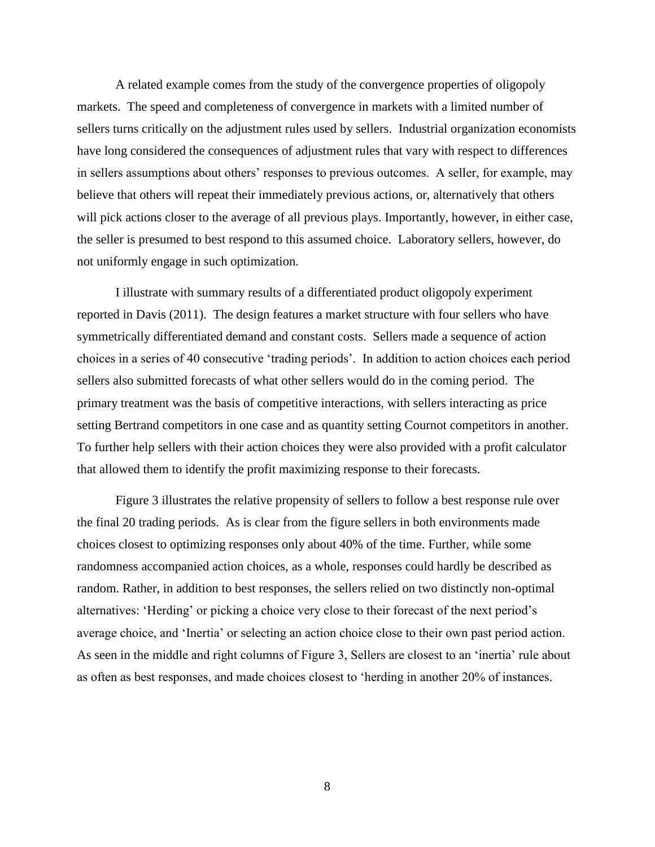A related example comes from the study of the convergence properties of oligopoly markets. The speed and completeness of convergence in markets with a limited number of sellers turns critically on the adjustment rules used by sellers. Industrial organization economists have long considered the consequences of adjustment rules that vary with respect to differences in sellers assumptions about others' responses to previous outcomes. A seller, for example, may believe that others will repeat their immediately previous actions, or, alternatively that others will pick actions closer to the average of all previous plays. Importantly, however, in either case, the seller is presumed to best respond to this assumed choice. Laboratory sellers, however, do not uniformly engage in such optimization.

I illustrate with summary results of a differentiated product oligopoly experiment reported in Davis (2011). The design features a market structure with four sellers who have symmetrically differentiated demand and constant costs. Sellers made a sequence of action choices in a series of 40 consecutive 'trading periods'. In addition to action choices each period sellers also submitted forecasts of what other sellers would do in the coming period. The primary treatment was the basis of competitive interactions, with sellers interacting as price setting Bertrand competitors in one case and as quantity setting Cournot competitors in another. To further help sellers with their action choices they were also provided with a profit calculator that allowed them to identify the profit maximizing response to their forecasts.

Figure 3 illustrates the relative propensity of sellers to follow a best response rule over the final 20 trading periods. As is clear from the figure sellers in both environments made choices closest to optimizing responses only about 40% of the time. Further, while some randomness accompanied action choices, as a whole, responses could hardly be described as random. Rather, in addition to best responses, the sellers relied on two distinctly non-optimal alternatives: 'Herding' or picking a choice very close to their forecast of the next period's average choice, and 'Inertia' or selecting an action choice close to their own past period action. As seen in the middle and right columns of Figure 3, Sellers are closest to an 'inertia' rule about as often as best responses, and made choices closest to 'herding in another 20% of instances.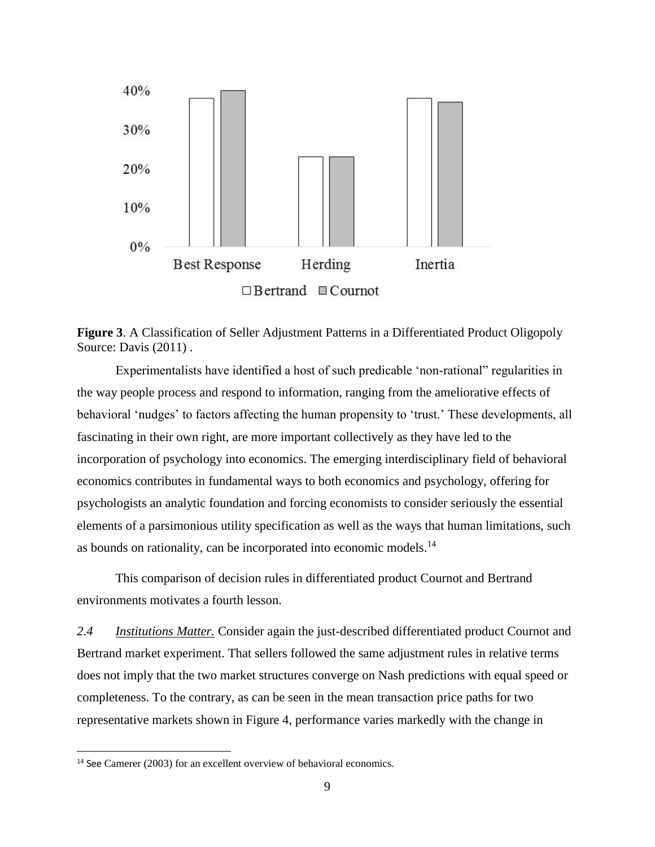

**Figure 3**. A Classification of Seller Adjustment Patterns in a Differentiated Product Oligopoly Source: Davis (2011) .

Experimentalists have identified a host of such predicable 'non-rational" regularities in the way people process and respond to information, ranging from the ameliorative effects of behavioral 'nudges' to factors affecting the human propensity to 'trust.' These developments, all fascinating in their own right, are more important collectively as they have led to the incorporation of psychology into economics. The emerging interdisciplinary field of behavioral economics contributes in fundamental ways to both economics and psychology, offering for psychologists an analytic foundation and forcing economists to consider seriously the essential elements of a parsimonious utility specification as well as the ways that human limitations, such as bounds on rationality, can be incorporated into economic models.<sup>14</sup>

This comparison of decision rules in differentiated product Cournot and Bertrand environments motivates a fourth lesson.

*2.4 Institutions Matter.* Consider again the just-described differentiated product Cournot and Bertrand market experiment. That sellers followed the same adjustment rules in relative terms does not imply that the two market structures converge on Nash predictions with equal speed or completeness. To the contrary, as can be seen in the mean transaction price paths for two representative markets shown in Figure 4, performance varies markedly with the change in

<sup>&</sup>lt;sup>14</sup> See Camerer (2003) for an excellent overview of behavioral economics.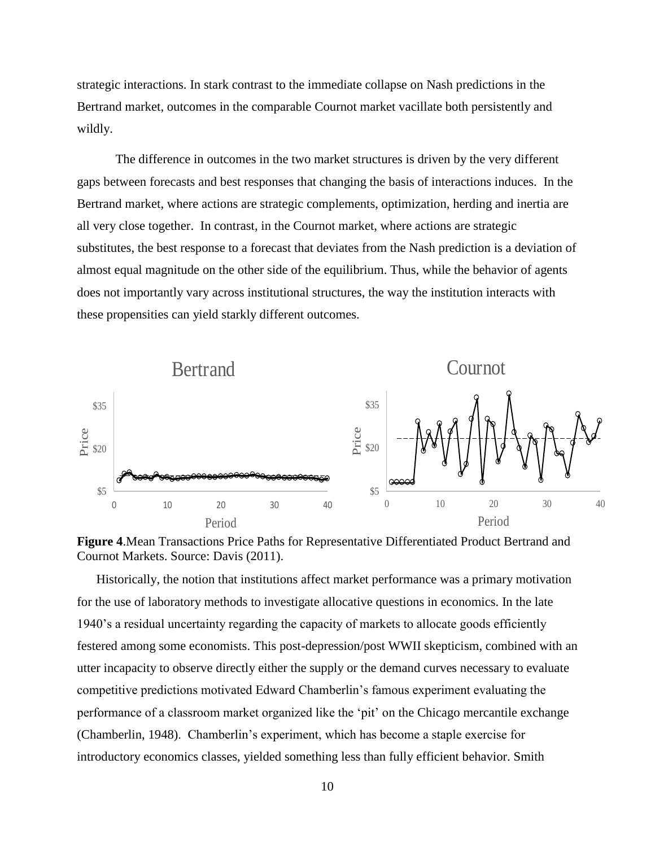strategic interactions. In stark contrast to the immediate collapse on Nash predictions in the Bertrand market, outcomes in the comparable Cournot market vacillate both persistently and wildly.

The difference in outcomes in the two market structures is driven by the very different gaps between forecasts and best responses that changing the basis of interactions induces. In the Bertrand market, where actions are strategic complements, optimization, herding and inertia are all very close together. In contrast, in the Cournot market, where actions are strategic substitutes, the best response to a forecast that deviates from the Nash prediction is a deviation of almost equal magnitude on the other side of the equilibrium. Thus, while the behavior of agents does not importantly vary across institutional structures, the way the institution interacts with these propensities can yield starkly different outcomes.



**Figure 4**.Mean Transactions Price Paths for Representative Differentiated Product Bertrand and Cournot Markets. Source: Davis (2011).

Historically, the notion that institutions affect market performance was a primary motivation for the use of laboratory methods to investigate allocative questions in economics. In the late 1940's a residual uncertainty regarding the capacity of markets to allocate goods efficiently festered among some economists. This post-depression/post WWII skepticism, combined with an utter incapacity to observe directly either the supply or the demand curves necessary to evaluate competitive predictions motivated Edward Chamberlin's famous experiment evaluating the performance of a classroom market organized like the 'pit' on the Chicago mercantile exchange (Chamberlin, 1948). Chamberlin's experiment, which has become a staple exercise for introductory economics classes, yielded something less than fully efficient behavior. Smith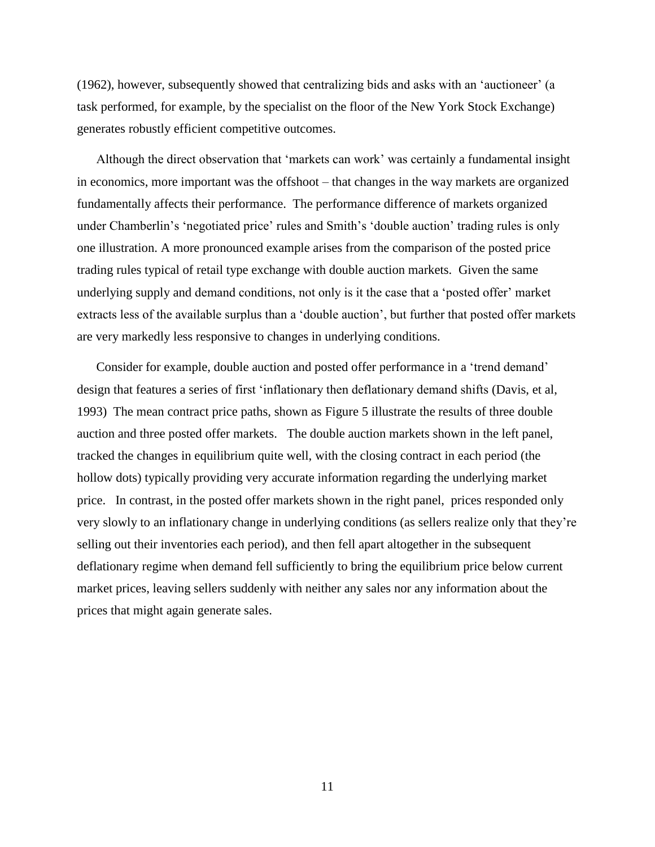(1962), however, subsequently showed that centralizing bids and asks with an 'auctioneer' (a task performed, for example, by the specialist on the floor of the New York Stock Exchange) generates robustly efficient competitive outcomes.

Although the direct observation that 'markets can work' was certainly a fundamental insight in economics, more important was the offshoot – that changes in the way markets are organized fundamentally affects their performance. The performance difference of markets organized under Chamberlin's 'negotiated price' rules and Smith's 'double auction' trading rules is only one illustration. A more pronounced example arises from the comparison of the posted price trading rules typical of retail type exchange with double auction markets. Given the same underlying supply and demand conditions, not only is it the case that a 'posted offer' market extracts less of the available surplus than a 'double auction', but further that posted offer markets are very markedly less responsive to changes in underlying conditions.

Consider for example, double auction and posted offer performance in a 'trend demand' design that features a series of first 'inflationary then deflationary demand shifts (Davis, et al, 1993) The mean contract price paths, shown as Figure 5 illustrate the results of three double auction and three posted offer markets. The double auction markets shown in the left panel, tracked the changes in equilibrium quite well, with the closing contract in each period (the hollow dots) typically providing very accurate information regarding the underlying market price. In contrast, in the posted offer markets shown in the right panel, prices responded only very slowly to an inflationary change in underlying conditions (as sellers realize only that they're selling out their inventories each period), and then fell apart altogether in the subsequent deflationary regime when demand fell sufficiently to bring the equilibrium price below current market prices, leaving sellers suddenly with neither any sales nor any information about the prices that might again generate sales.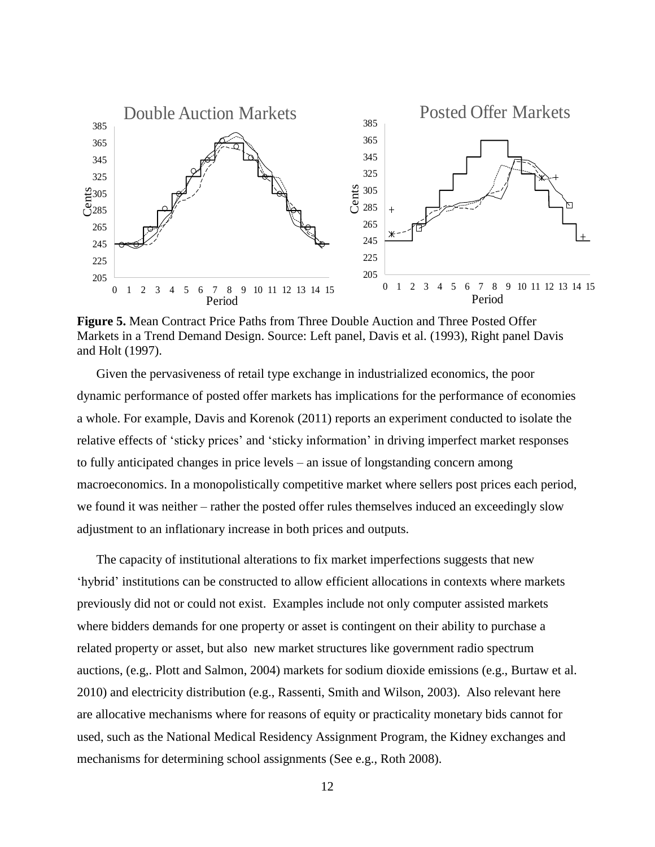

**Figure 5.** Mean Contract Price Paths from Three Double Auction and Three Posted Offer Markets in a Trend Demand Design. Source: Left panel, Davis et al. (1993), Right panel Davis and Holt (1997).

Given the pervasiveness of retail type exchange in industrialized economics, the poor dynamic performance of posted offer markets has implications for the performance of economies a whole. For example, Davis and Korenok (2011) reports an experiment conducted to isolate the relative effects of 'sticky prices' and 'sticky information' in driving imperfect market responses to fully anticipated changes in price levels – an issue of longstanding concern among macroeconomics. In a monopolistically competitive market where sellers post prices each period, we found it was neither – rather the posted offer rules themselves induced an exceedingly slow adjustment to an inflationary increase in both prices and outputs.

The capacity of institutional alterations to fix market imperfections suggests that new 'hybrid' institutions can be constructed to allow efficient allocations in contexts where markets previously did not or could not exist. Examples include not only computer assisted markets where bidders demands for one property or asset is contingent on their ability to purchase a related property or asset, but also new market structures like government radio spectrum auctions, (e.g,. Plott and Salmon, 2004) markets for sodium dioxide emissions (e.g., Burtaw et al. 2010) and electricity distribution (e.g., Rassenti, Smith and Wilson, 2003). Also relevant here are allocative mechanisms where for reasons of equity or practicality monetary bids cannot for used, such as the National Medical Residency Assignment Program, the Kidney exchanges and mechanisms for determining school assignments (See e.g., Roth 2008).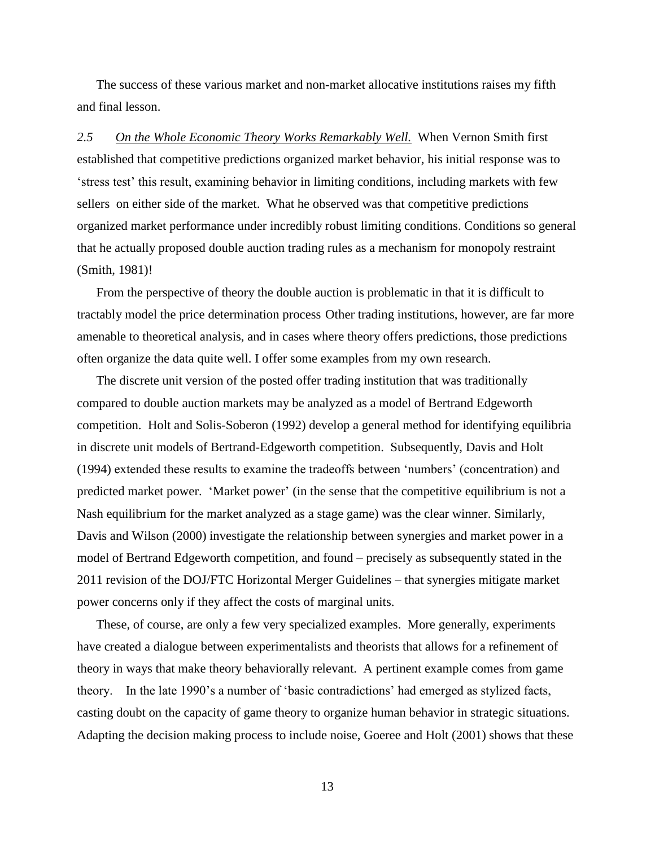The success of these various market and non-market allocative institutions raises my fifth and final lesson.

*2.5 On the Whole Economic Theory Works Remarkably Well.* When Vernon Smith first established that competitive predictions organized market behavior, his initial response was to 'stress test' this result, examining behavior in limiting conditions, including markets with few sellers on either side of the market. What he observed was that competitive predictions organized market performance under incredibly robust limiting conditions. Conditions so general that he actually proposed double auction trading rules as a mechanism for monopoly restraint (Smith, 1981)!

From the perspective of theory the double auction is problematic in that it is difficult to tractably model the price determination process Other trading institutions, however, are far more amenable to theoretical analysis, and in cases where theory offers predictions, those predictions often organize the data quite well. I offer some examples from my own research.

The discrete unit version of the posted offer trading institution that was traditionally compared to double auction markets may be analyzed as a model of Bertrand Edgeworth competition. Holt and Solis-Soberon (1992) develop a general method for identifying equilibria in discrete unit models of Bertrand-Edgeworth competition. Subsequently, Davis and Holt (1994) extended these results to examine the tradeoffs between 'numbers' (concentration) and predicted market power. 'Market power' (in the sense that the competitive equilibrium is not a Nash equilibrium for the market analyzed as a stage game) was the clear winner. Similarly, Davis and Wilson (2000) investigate the relationship between synergies and market power in a model of Bertrand Edgeworth competition, and found – precisely as subsequently stated in the 2011 revision of the DOJ/FTC Horizontal Merger Guidelines – that synergies mitigate market power concerns only if they affect the costs of marginal units.

These, of course, are only a few very specialized examples. More generally, experiments have created a dialogue between experimentalists and theorists that allows for a refinement of theory in ways that make theory behaviorally relevant. A pertinent example comes from game theory. In the late 1990's a number of 'basic contradictions' had emerged as stylized facts, casting doubt on the capacity of game theory to organize human behavior in strategic situations. Adapting the decision making process to include noise, Goeree and Holt (2001) shows that these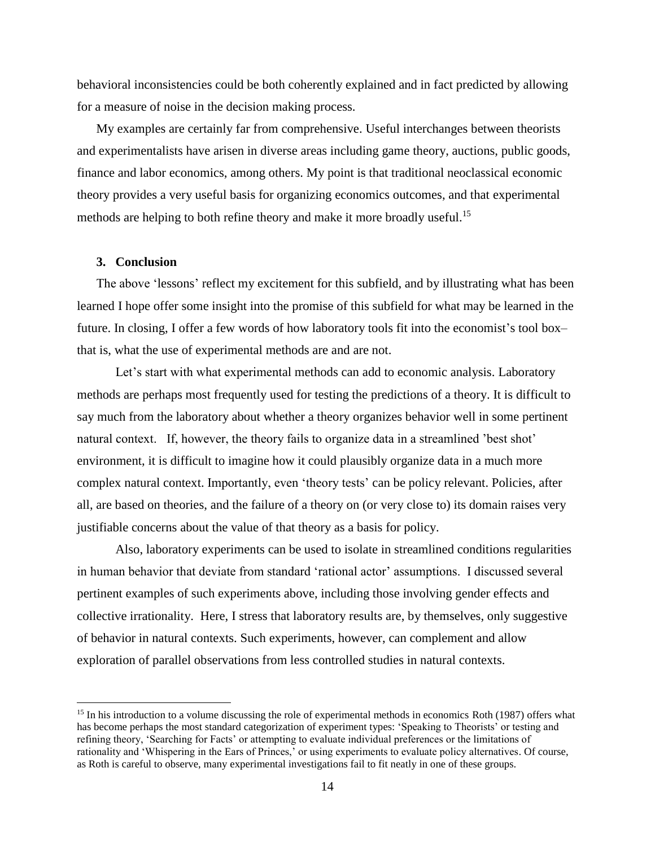behavioral inconsistencies could be both coherently explained and in fact predicted by allowing for a measure of noise in the decision making process.

My examples are certainly far from comprehensive. Useful interchanges between theorists and experimentalists have arisen in diverse areas including game theory, auctions, public goods, finance and labor economics, among others. My point is that traditional neoclassical economic theory provides a very useful basis for organizing economics outcomes, and that experimental methods are helping to both refine theory and make it more broadly useful.<sup>15</sup>

# **3. Conclusion**

 $\overline{a}$ 

The above 'lessons' reflect my excitement for this subfield, and by illustrating what has been learned I hope offer some insight into the promise of this subfield for what may be learned in the future. In closing, I offer a few words of how laboratory tools fit into the economist's tool box– that is, what the use of experimental methods are and are not.

Let's start with what experimental methods can add to economic analysis. Laboratory methods are perhaps most frequently used for testing the predictions of a theory. It is difficult to say much from the laboratory about whether a theory organizes behavior well in some pertinent natural context. If, however, the theory fails to organize data in a streamlined 'best shot' environment, it is difficult to imagine how it could plausibly organize data in a much more complex natural context. Importantly, even 'theory tests' can be policy relevant. Policies, after all, are based on theories, and the failure of a theory on (or very close to) its domain raises very justifiable concerns about the value of that theory as a basis for policy.

Also, laboratory experiments can be used to isolate in streamlined conditions regularities in human behavior that deviate from standard 'rational actor' assumptions. I discussed several pertinent examples of such experiments above, including those involving gender effects and collective irrationality. Here, I stress that laboratory results are, by themselves, only suggestive of behavior in natural contexts. Such experiments, however, can complement and allow exploration of parallel observations from less controlled studies in natural contexts.

<sup>&</sup>lt;sup>15</sup> In his introduction to a volume discussing the role of experimental methods in economics Roth (1987) offers what has become perhaps the most standard categorization of experiment types: 'Speaking to Theorists' or testing and refining theory, 'Searching for Facts' or attempting to evaluate individual preferences or the limitations of rationality and 'Whispering in the Ears of Princes,' or using experiments to evaluate policy alternatives. Of course, as Roth is careful to observe, many experimental investigations fail to fit neatly in one of these groups.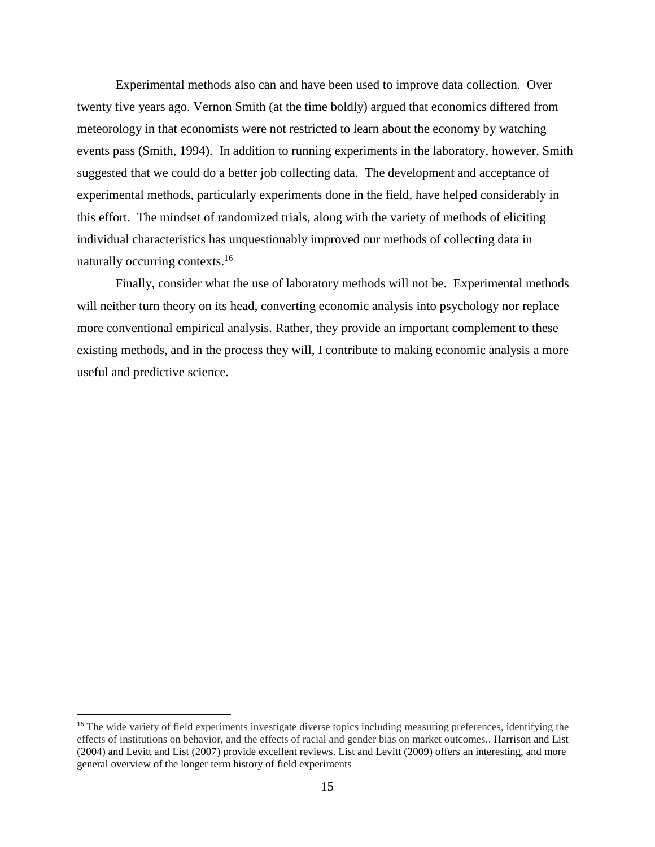Experimental methods also can and have been used to improve data collection. Over twenty five years ago. Vernon Smith (at the time boldly) argued that economics differed from meteorology in that economists were not restricted to learn about the economy by watching events pass (Smith, 1994). In addition to running experiments in the laboratory, however, Smith suggested that we could do a better job collecting data. The development and acceptance of experimental methods, particularly experiments done in the field, have helped considerably in this effort. The mindset of randomized trials, along with the variety of methods of eliciting individual characteristics has unquestionably improved our methods of collecting data in naturally occurring contexts.<sup>16</sup>

Finally, consider what the use of laboratory methods will not be. Experimental methods will neither turn theory on its head, converting economic analysis into psychology nor replace more conventional empirical analysis. Rather, they provide an important complement to these existing methods, and in the process they will, I contribute to making economic analysis a more useful and predictive science.

<sup>&</sup>lt;sup>16</sup> The wide variety of field experiments investigate diverse topics including measuring preferences, identifying the effects of institutions on behavior, and the effects of racial and gender bias on market outcomes.. Harrison and List (2004) and Levitt and List (2007) provide excellent reviews. List and Levitt (2009) offers an interesting, and more general overview of the longer term history of field experiments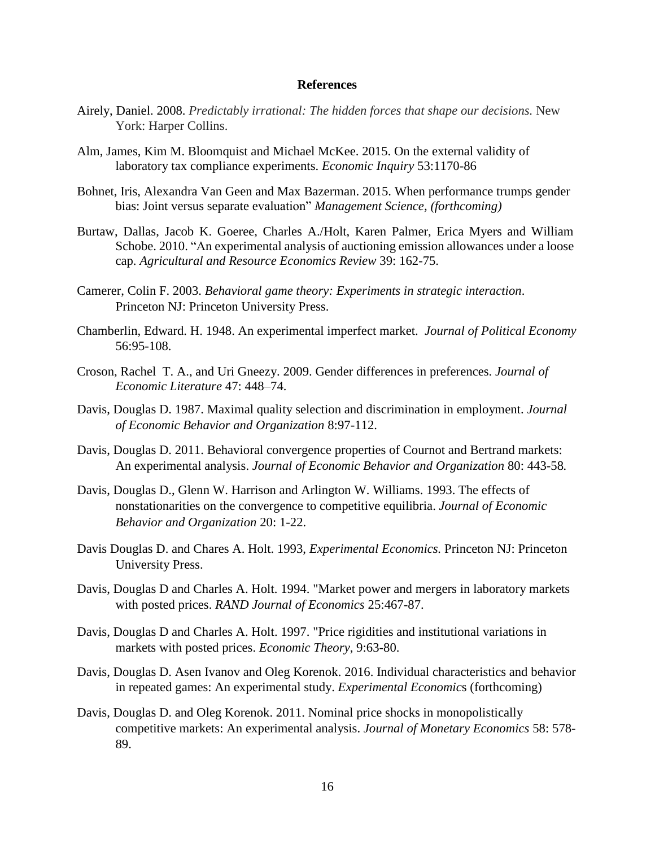#### **References**

- Airely, Daniel. 2008. *Predictably irrational: The hidden forces that shape our decisions.* New York: Harper Collins.
- Alm, James, Kim M. Bloomquist and Michael McKee. 2015. On the external validity of laboratory tax compliance experiments. *Economic Inquiry* 53:1170-86
- Bohnet, Iris, Alexandra Van Geen and Max Bazerman. 2015. When performance trumps gender bias: Joint versus separate evaluation" *Management Science, (forthcoming)*
- Burtaw, Dallas, Jacob K. Goeree, Charles A./Holt, Karen Palmer, Erica Myers and William Schobe. 2010. "An experimental analysis of auctioning emission allowances under a loose cap. *Agricultural and Resource Economics Review* 39: 162-75.
- Camerer, Colin F. 2003. *Behavioral game theory: Experiments in strategic interaction*. Princeton NJ: Princeton University Press.
- Chamberlin, Edward. H. 1948. An experimental imperfect market. *Journal of Political Economy* 56:95-108.
- Croson, Rachel T. A., and Uri Gneezy. 2009. Gender differences in preferences. *Journal of Economic Literature* 47: 448–74.
- Davis, Douglas D. 1987. Maximal quality selection and discrimination in employment. *Journal of Economic Behavior and Organization* 8:97-112.
- Davis, Douglas D. 2011. Behavioral convergence properties of Cournot and Bertrand markets: An experimental analysis. *Journal of Economic Behavior and Organization* 80: 443-58*.*
- Davis, Douglas D., Glenn W. Harrison and Arlington W. Williams. 1993. The effects of nonstationarities on the convergence to competitive equilibria. *Journal of Economic Behavior and Organization* 20: 1-22.
- Davis Douglas D. and Chares A. Holt. 1993, *Experimental Economics.* Princeton NJ: Princeton University Press.
- Davis, Douglas D and Charles A. Holt. 1994. "Market power and mergers in laboratory markets with posted prices. *RAND Journal of Economics* 25:467-87.
- Davis, Douglas D and Charles A. Holt. 1997. "Price rigidities and institutional variations in markets with posted prices. *Economic Theory*, 9:63-80.
- Davis, Douglas D. Asen Ivanov and Oleg Korenok. 2016. Individual characteristics and behavior in repeated games: An experimental study. *Experimental Economic*s (forthcoming)
- Davis, Douglas D. and Oleg Korenok. 2011. Nominal price shocks in monopolistically competitive markets: An experimental analysis. *Journal of Monetary Economics* 58: 578- 89.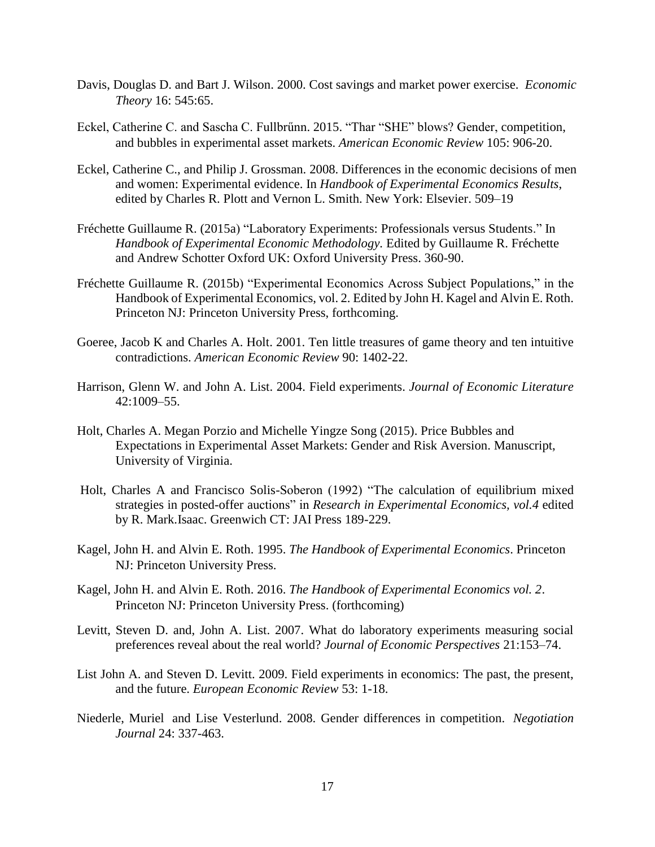- Davis, Douglas D. and Bart J. Wilson. 2000. Cost savings and market power exercise. *Economic Theory* 16: 545:65.
- Eckel, Catherine C. and Sascha C. Fullbrűnn. 2015. "Thar "SHE" blows? Gender, competition, and bubbles in experimental asset markets. *American Economic Review* 105: 906-20.
- Eckel, Catherine C., and Philip J. Grossman. 2008. Differences in the economic decisions of men and women: Experimental evidence. In *Handbook of Experimental Economics Results*, edited by Charles R. Plott and Vernon L. Smith. New York: Elsevier. 509–19
- Fréchette Guillaume R. (2015a) "Laboratory Experiments: Professionals versus Students." In *Handbook of Experimental Economic Methodology.* Edited by Guillaume R. Fréchette and Andrew Schotter Oxford UK: Oxford University Press. 360-90.
- Fréchette Guillaume R. (2015b) "Experimental Economics Across Subject Populations," in the Handbook of Experimental Economics, vol. 2. Edited by John H. Kagel and Alvin E. Roth. Princeton NJ: Princeton University Press, forthcoming.
- Goeree, Jacob K and Charles A. Holt. 2001. Ten little treasures of game theory and ten intuitive contradictions. *American Economic Review* 90: 1402-22.
- Harrison, Glenn W. and John A. List. 2004. Field experiments. *Journal of Economic Literature*  42:1009–55.
- Holt, Charles A. Megan Porzio and Michelle Yingze Song (2015). Price Bubbles and Expectations in Experimental Asset Markets: Gender and Risk Aversion. Manuscript, University of Virginia.
- Holt, Charles A and Francisco Solis-Soberon (1992) "The calculation of equilibrium mixed strategies in posted-offer auctions" in *Research in Experimental Economics, vol.4* edited by R. Mark.Isaac. Greenwich CT: JAI Press 189-229.
- Kagel, John H. and Alvin E. Roth. 1995. *The Handbook of Experimental Economics*. Princeton NJ: Princeton University Press.
- Kagel, John H. and Alvin E. Roth. 2016. *The Handbook of Experimental Economics vol. 2*. Princeton NJ: Princeton University Press. (forthcoming)
- Levitt, Steven D. and, John A. List. 2007. What do laboratory experiments measuring social preferences reveal about the real world? *Journal of Economic Perspectives* 21:153–74.
- List John A. and Steven D. Levitt. 2009. Field experiments in economics: The past, the present, and the future. *European Economic Review* 53: 1-18.
- Niederle, Muriel and Lise Vesterlund. 2008. Gender differences in competition. *Negotiation Journal* 24: 337-463.